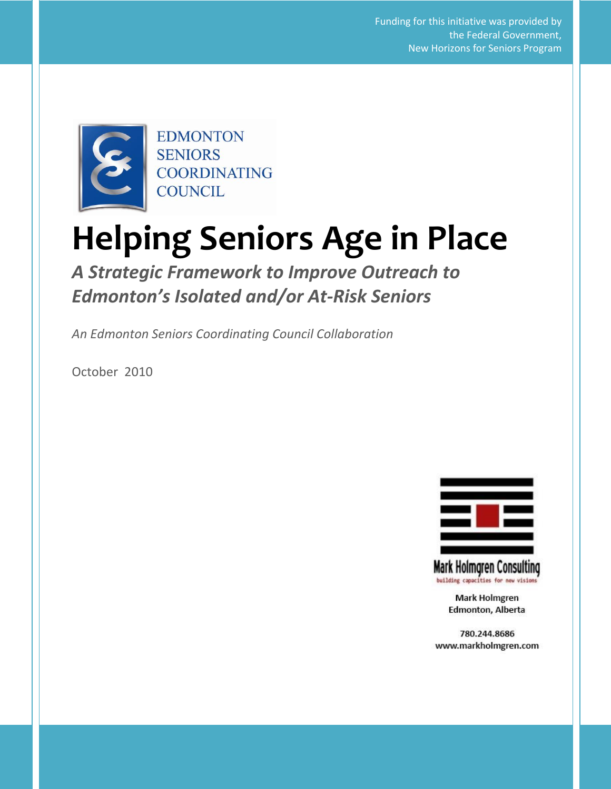**Helping Seniors Age in Place: A Strategic Framework to Improve Outreach to Edmonton's Isolated or At-Risk Seniors** 1 New Horizons for Seniors ProgramFunding for this initiative was provided by the Federal Government,



# **Helping Seniors Age in Place**

*A Strategic Framework to Improve Outreach to Edmonton's Isolated and/or At-Risk Seniors*

*An Edmonton Seniors Coordinating Council Collaboration*

October 2010



**Mark Holmgren Consulting** building capacities for new vision

> **Mark Holmgren** Edmonton, Alberta

780.244.8686 www.markholmgren.com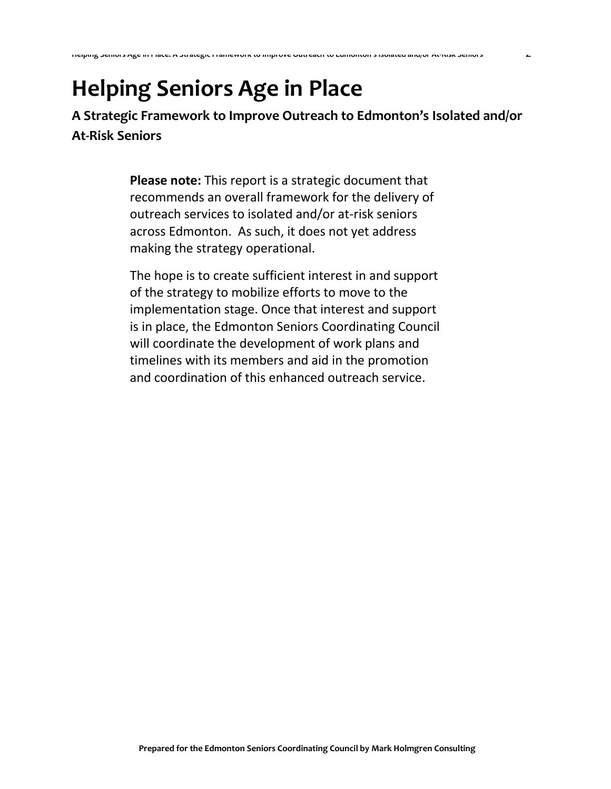**A Strategic Framework to Improve Outreach to Edmonton's Isolated and/or At-Risk Seniors** 

**Helping Seniors Age in Place: A Strategic Framework to Improve Outreach to Edmonton's Isolated and/or At-Risk Seniors** 2

**Please note:** This report is a strategic document that recommends an overall framework for the delivery of outreach services to isolated and/or at-risk seniors across Edmonton. As such, it does not yet address making the strategy operational.

The hope is to create sufficient interest in and support of the strategy to mobilize efforts to move to the implementation stage. Once that interest and support is in place, the Edmonton Seniors Coordinating Council will coordinate the development of work plans and timelines with its members and aid in the promotion and coordination of this enhanced outreach service.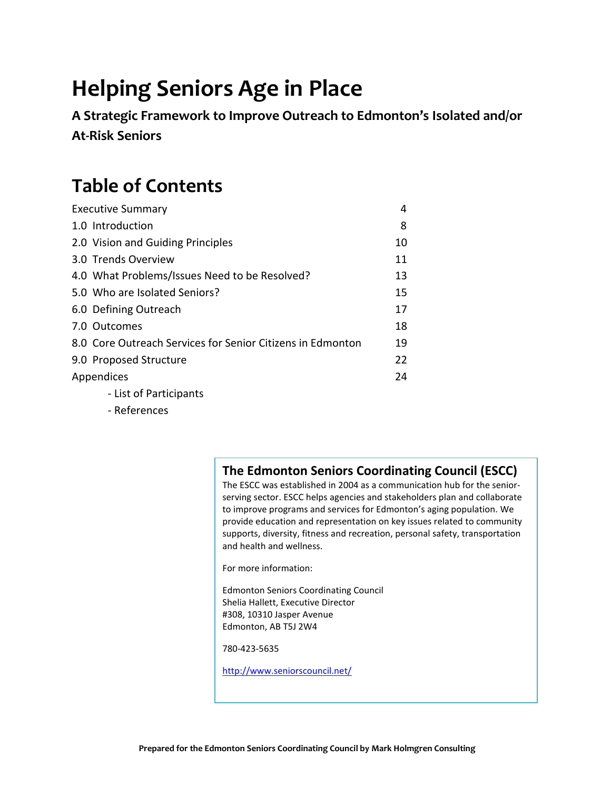**A Strategic Framework to Improve Outreach to Edmonton's Isolated and/or At-Risk Seniors** 

# **Table of Contents**

| <b>Executive Summary</b>                                   | 4  |
|------------------------------------------------------------|----|
| 1.0 Introduction                                           | 8  |
| 2.0 Vision and Guiding Principles                          | 10 |
| 3.0 Trends Overview                                        | 11 |
| 4.0 What Problems/Issues Need to be Resolved?              | 13 |
| 5.0 Who are Isolated Seniors?                              | 15 |
| 6.0 Defining Outreach                                      | 17 |
| 7.0 Outcomes                                               | 18 |
| 8.0 Core Outreach Services for Senior Citizens in Edmonton | 19 |
| 9.0 Proposed Structure                                     | 22 |
| Appendices                                                 | 24 |
| - List of Participants                                     |    |

- References

# **The Edmonton Seniors Coordinating Council (ESCC)**

The ESCC was established in 2004 as a communication hub for the seniorserving sector. ESCC helps agencies and stakeholders plan and collaborate to improve programs and services for Edmonton's aging population. We provide education and representation on key issues related to community supports, diversity, fitness and recreation, personal safety, transportation and health and wellness.

For more information:

Edmonton Seniors Coordinating Council Shelia Hallett, Executive Director #308, 10310 Jasper Avenue Edmonton, AB T5J 2W4

780-423-5635

<http://www.seniorscouncil.net/>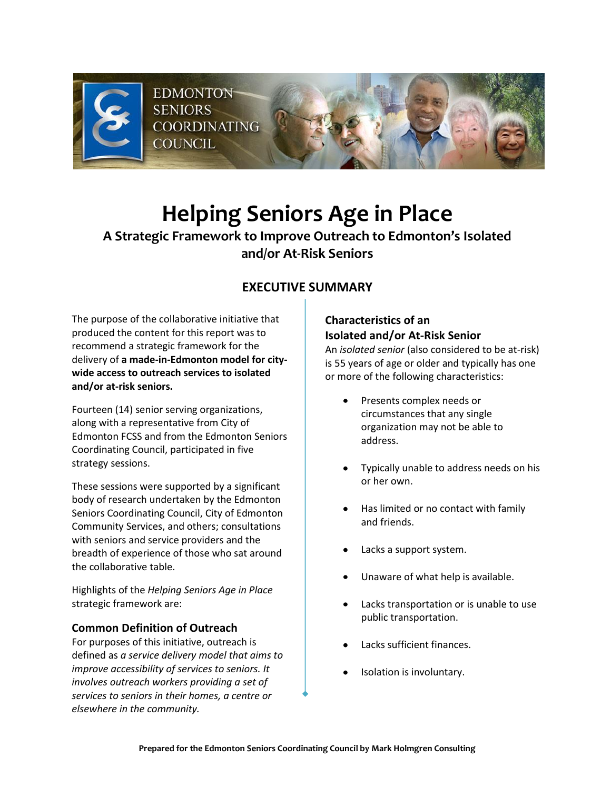

# **A Strategic Framework to Improve Outreach to Edmonton's Isolated and/or At-Risk Seniors**

# **EXECUTIVE SUMMARY**

The purpose of the collaborative initiative that produced the content for this report was to recommend a strategic framework for the delivery of **a made-in-Edmonton model for citywide access to outreach services to isolated and/or at-risk seniors.**

Fourteen (14) senior serving organizations, along with a representative from City of Edmonton FCSS and from the Edmonton Seniors Coordinating Council, participated in five strategy sessions.

These sessions were supported by a significant body of research undertaken by the Edmonton Seniors Coordinating Council, City of Edmonton Community Services, and others; consultations with seniors and service providers and the breadth of experience of those who sat around the collaborative table.

Highlights of the *Helping Seniors Age in Place* strategic framework are:

#### **Common Definition of Outreach**

For purposes of this initiative, outreach is defined as *a service delivery model that aims to improve accessibility of services to seniors. It involves outreach workers providing a set of services to seniors in their homes, a centre or elsewhere in the community.* 

## **Characteristics of an Isolated and/or At-Risk Senior**

An *isolated senior* (also considered to be at-risk) is 55 years of age or older and typically has one or more of the following characteristics:

- Presents complex needs or circumstances that any single organization may not be able to address.
- Typically unable to address needs on his or her own.
- Has limited or no contact with family and friends.
- Lacks a support system.
- Unaware of what help is available.
- Lacks transportation or is unable to use public transportation.
- Lacks sufficient finances.
- Isolation is involuntary.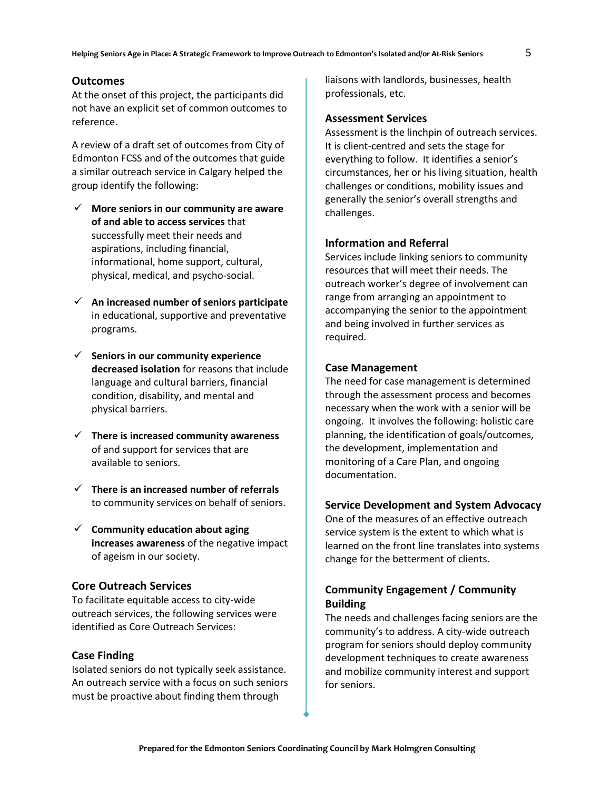#### **Outcomes**

At the onset of this project, the participants did not have an explicit set of common outcomes to reference.

A review of a draft set of outcomes from City of Edmonton FCSS and of the outcomes that guide a similar outreach service in Calgary helped the group identify the following:

- **More seniors in our community are aware of and able to access services** that successfully meet their needs and aspirations, including financial, informational, home support, cultural, physical, medical, and psycho-social.
- **An increased number of seniors participate** in educational, supportive and preventative programs.
- **Seniors in our community experience decreased isolation** for reasons that include language and cultural barriers, financial condition, disability, and mental and physical barriers.
- **There is increased community awareness** of and support for services that are available to seniors.
- **There is an increased number of referrals** to community services on behalf of seniors.
- **Community education about aging increases awareness** of the negative impact of ageism in our society.

#### **Core Outreach Services**

To facilitate equitable access to city-wide outreach services, the following services were identified as Core Outreach Services:

#### **Case Finding**

Isolated seniors do not typically seek assistance. An outreach service with a focus on such seniors must be proactive about finding them through

liaisons with landlords, businesses, health professionals, etc.

#### **Assessment Services**

Assessment is the linchpin of outreach services. It is client-centred and sets the stage for everything to follow. It identifies a senior's circumstances, her or his living situation, health challenges or conditions, mobility issues and generally the senior's overall strengths and challenges.

#### **Information and Referral**

Services include linking seniors to community resources that will meet their needs. The outreach worker's degree of involvement can range from arranging an appointment to accompanying the senior to the appointment and being involved in further services as required.

#### **Case Management**

The need for case management is determined through the assessment process and becomes necessary when the work with a senior will be ongoing. It involves the following: holistic care planning, the identification of goals/outcomes, the development, implementation and monitoring of a Care Plan, and ongoing documentation.

#### **Service Development and System Advocacy**

One of the measures of an effective outreach service system is the extent to which what is learned on the front line translates into systems change for the betterment of clients.

#### **Community Engagement / Community Building**

The needs and challenges facing seniors are the community's to address. A city-wide outreach program for seniors should deploy community development techniques to create awareness and mobilize community interest and support for seniors.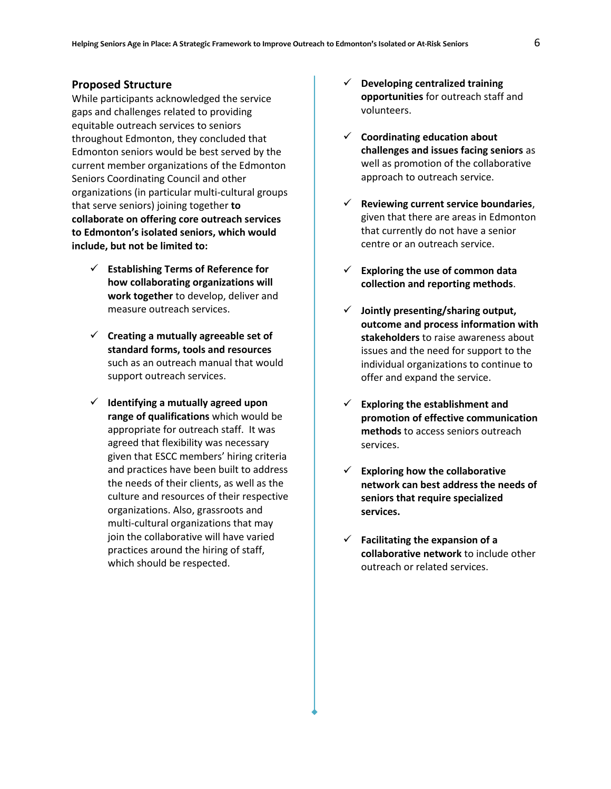#### **Proposed Structure**

While participants acknowledged the service gaps and challenges related to providing equitable outreach services to seniors throughout Edmonton, they concluded that Edmonton seniors would be best served by the current member organizations of the Edmonton Seniors Coordinating Council and other organizations (in particular multi-cultural groups that serve seniors) joining together **to collaborate on offering core outreach services to Edmonton's isolated seniors, which would include, but not be limited to:** 

- **Establishing Terms of Reference for how collaborating organizations will work together** to develop, deliver and measure outreach services.
- **Creating a mutually agreeable set of standard forms, tools and resources** such as an outreach manual that would support outreach services.
- **Identifying a mutually agreed upon range of qualifications** which would be appropriate for outreach staff. It was agreed that flexibility was necessary given that ESCC members' hiring criteria and practices have been built to address the needs of their clients, as well as the culture and resources of their respective organizations. Also, grassroots and multi-cultural organizations that may join the collaborative will have varied practices around the hiring of staff, which should be respected.
- **Developing centralized training opportunities** for outreach staff and volunteers.
- **Coordinating education about challenges and issues facing seniors** as well as promotion of the collaborative approach to outreach service.
- **Reviewing current service boundaries**, given that there are areas in Edmonton that currently do not have a senior centre or an outreach service.
- **Exploring the use of common data collection and reporting methods**.
- **Jointly presenting/sharing output, outcome and process information with stakeholders** to raise awareness about issues and the need for support to the individual organizations to continue to offer and expand the service.
- **Exploring the establishment and promotion of effective communication methods** to access seniors outreach services.
- **Exploring how the collaborative network can best address the needs of seniors that require specialized services.**
- **Facilitating the expansion of a collaborative network** to include other outreach or related services.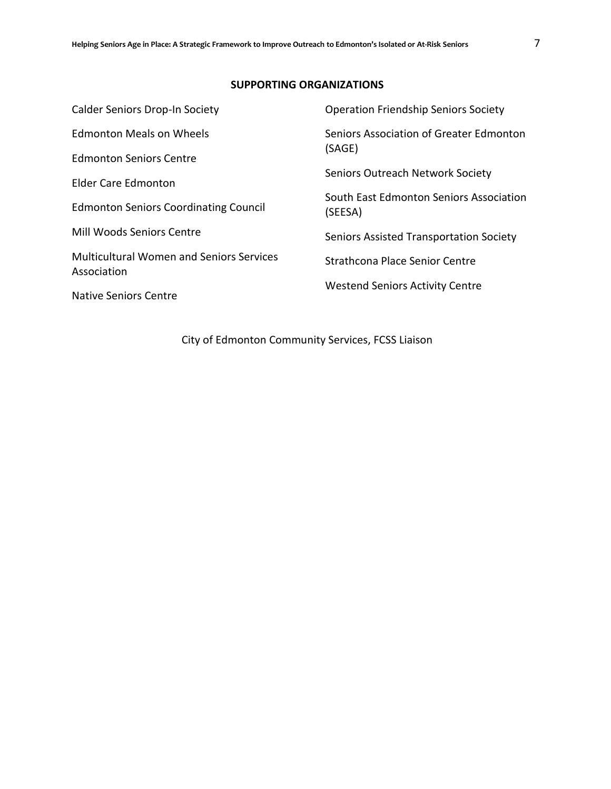#### **SUPPORTING ORGANIZATIONS**

| Seniors Association of Greater Edmonton<br>(SAGE)<br>Seniors Outreach Network Society<br>South East Edmonton Seniors Association<br>(SEESA)<br><b>Seniors Assisted Transportation Society</b><br>Strathcona Place Senior Centre<br><b>Westend Seniors Activity Centre</b> | <b>Calder Seniors Drop-In Society</b>                          | <b>Operation Friendship Seniors Society</b> |  |
|---------------------------------------------------------------------------------------------------------------------------------------------------------------------------------------------------------------------------------------------------------------------------|----------------------------------------------------------------|---------------------------------------------|--|
|                                                                                                                                                                                                                                                                           | <b>Edmonton Meals on Wheels</b>                                |                                             |  |
|                                                                                                                                                                                                                                                                           | <b>Edmonton Seniors Centre</b>                                 |                                             |  |
|                                                                                                                                                                                                                                                                           | <b>Elder Care Edmonton</b>                                     |                                             |  |
|                                                                                                                                                                                                                                                                           | <b>Edmonton Seniors Coordinating Council</b>                   |                                             |  |
|                                                                                                                                                                                                                                                                           | Mill Woods Seniors Centre                                      |                                             |  |
|                                                                                                                                                                                                                                                                           | <b>Multicultural Women and Seniors Services</b><br>Association |                                             |  |
|                                                                                                                                                                                                                                                                           | <b>Native Seniors Centre</b>                                   |                                             |  |

City of Edmonton Community Services, FCSS Liaison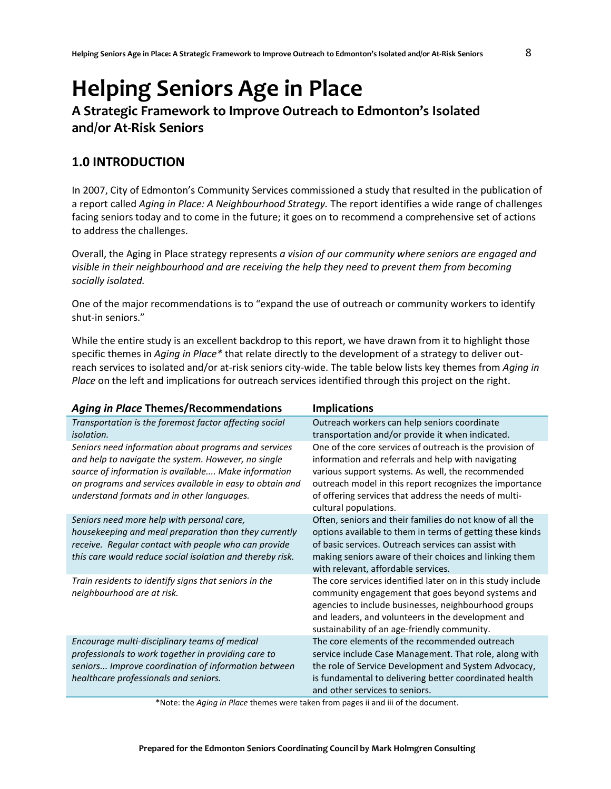# **A Strategic Framework to Improve Outreach to Edmonton's Isolated and/or At-Risk Seniors**

# **1.0 INTRODUCTION**

In 2007, City of Edmonton's Community Services commissioned a study that resulted in the publication of a report called *Aging in Place: A Neighbourhood Strategy.* The report identifies a wide range of challenges facing seniors today and to come in the future; it goes on to recommend a comprehensive set of actions to address the challenges.

Overall, the Aging in Place strategy represents *a vision of our community where seniors are engaged and visible in their neighbourhood and are receiving the help they need to prevent them from becoming socially isolated.*

One of the major recommendations is to "expand the use of outreach or community workers to identify shut-in seniors."

While the entire study is an excellent backdrop to this report, we have drawn from it to highlight those specific themes in *Aging in Place\** that relate directly to the development of a strategy to deliver outreach services to isolated and/or at-risk seniors city-wide. The table below lists key themes from *Aging in Place* on the left and implications for outreach services identified through this project on the right.

| <b>Aging in Place Themes/Recommendations</b>                                                                                                                                                                                                                                 | <b>Implications</b>                                                                                                                                                                                                                                                                                              |
|------------------------------------------------------------------------------------------------------------------------------------------------------------------------------------------------------------------------------------------------------------------------------|------------------------------------------------------------------------------------------------------------------------------------------------------------------------------------------------------------------------------------------------------------------------------------------------------------------|
| Transportation is the foremost factor affecting social<br><i>isolation.</i>                                                                                                                                                                                                  | Outreach workers can help seniors coordinate<br>transportation and/or provide it when indicated.                                                                                                                                                                                                                 |
| Seniors need information about programs and services<br>and help to navigate the system. However, no single<br>source of information is available Make information<br>on programs and services available in easy to obtain and<br>understand formats and in other languages. | One of the core services of outreach is the provision of<br>information and referrals and help with navigating<br>various support systems. As well, the recommended<br>outreach model in this report recognizes the importance<br>of offering services that address the needs of multi-<br>cultural populations. |
| Seniors need more help with personal care,<br>housekeeping and meal preparation than they currently<br>receive. Regular contact with people who can provide<br>this care would reduce social isolation and thereby risk.                                                     | Often, seniors and their families do not know of all the<br>options available to them in terms of getting these kinds<br>of basic services. Outreach services can assist with<br>making seniors aware of their choices and linking them<br>with relevant, affordable services.                                   |
| Train residents to identify signs that seniors in the<br>neighbourhood are at risk.                                                                                                                                                                                          | The core services identified later on in this study include<br>community engagement that goes beyond systems and<br>agencies to include businesses, neighbourhood groups<br>and leaders, and volunteers in the development and<br>sustainability of an age-friendly community.                                   |
| Encourage multi-disciplinary teams of medical<br>professionals to work together in providing care to<br>seniors Improve coordination of information between<br>healthcare professionals and seniors.                                                                         | The core elements of the recommended outreach<br>service include Case Management. That role, along with<br>the role of Service Development and System Advocacy,<br>is fundamental to delivering better coordinated health<br>and other services to seniors.                                                      |

\*Note: the *Aging in Place* themes were taken from pages ii and iii of the document.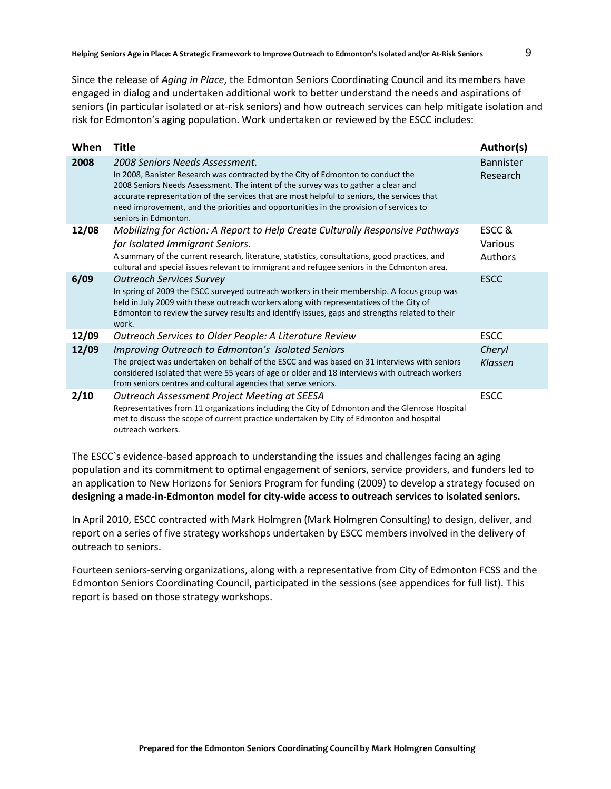Since the release of *Aging in Place*, the Edmonton Seniors Coordinating Council and its members have engaged in dialog and undertaken additional work to better understand the needs and aspirations of seniors (in particular isolated or at-risk seniors) and how outreach services can help mitigate isolation and risk for Edmonton's aging population. Work undertaken or reviewed by the ESCC includes:

| When  | <b>Title</b>                                                                                                                                                                                                                                                                                                                                                                                                             | Author(s)                    |
|-------|--------------------------------------------------------------------------------------------------------------------------------------------------------------------------------------------------------------------------------------------------------------------------------------------------------------------------------------------------------------------------------------------------------------------------|------------------------------|
| 2008  | 2008 Seniors Needs Assessment.<br>In 2008, Banister Research was contracted by the City of Edmonton to conduct the<br>2008 Seniors Needs Assessment. The intent of the survey was to gather a clear and<br>accurate representation of the services that are most helpful to seniors, the services that<br>need improvement, and the priorities and opportunities in the provision of services to<br>seniors in Edmonton. | <b>Bannister</b><br>Research |
| 12/08 | Mobilizing for Action: A Report to Help Create Culturally Responsive Pathways<br>for Isolated Immigrant Seniors.<br>A summary of the current research, literature, statistics, consultations, good practices, and<br>cultural and special issues relevant to immigrant and refugee seniors in the Edmonton area.                                                                                                         | ESCC&<br>Various<br>Authors  |
| 6/09  | <b>Outreach Services Survey</b><br>In spring of 2009 the ESCC surveyed outreach workers in their membership. A focus group was<br>held in July 2009 with these outreach workers along with representatives of the City of<br>Edmonton to review the survey results and identify issues, gaps and strengths related to their<br>work.                                                                                     | <b>ESCC</b>                  |
| 12/09 | Outreach Services to Older People: A Literature Review                                                                                                                                                                                                                                                                                                                                                                   | <b>ESCC</b>                  |
| 12/09 | Improving Outreach to Edmonton's Isolated Seniors<br>The project was undertaken on behalf of the ESCC and was based on 31 interviews with seniors<br>considered isolated that were 55 years of age or older and 18 interviews with outreach workers<br>from seniors centres and cultural agencies that serve seniors.                                                                                                    | Cheryl<br><b>Klassen</b>     |
| 2/10  | Outreach Assessment Project Meeting at SEESA<br>Representatives from 11 organizations including the City of Edmonton and the Glenrose Hospital<br>met to discuss the scope of current practice undertaken by City of Edmonton and hospital<br>outreach workers.                                                                                                                                                          | <b>ESCC</b>                  |

The ESCC`s evidence-based approach to understanding the issues and challenges facing an aging population and its commitment to optimal engagement of seniors, service providers, and funders led to an application to New Horizons for Seniors Program for funding (2009) to develop a strategy focused on **designing a made-in-Edmonton model for city-wide access to outreach services to isolated seniors.**

In April 2010, ESCC contracted with Mark Holmgren (Mark Holmgren Consulting) to design, deliver, and report on a series of five strategy workshops undertaken by ESCC members involved in the delivery of outreach to seniors.

Fourteen seniors-serving organizations, along with a representative from City of Edmonton FCSS and the Edmonton Seniors Coordinating Council, participated in the sessions (see appendices for full list). This report is based on those strategy workshops.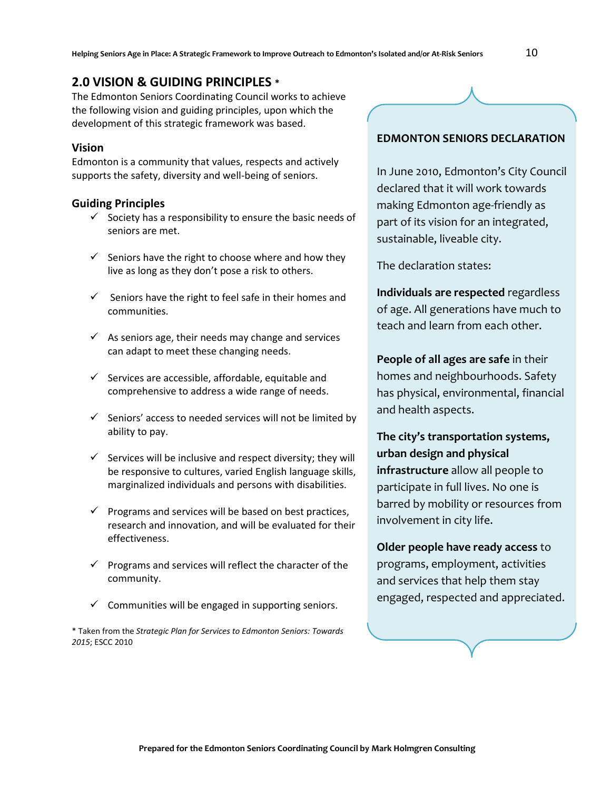# **2.0 VISION & GUIDING PRINCIPLES \***

The Edmonton Seniors Coordinating Council works to achieve the following vision and guiding principles, upon which the development of this strategic framework was based.

#### **Vision**

Edmonton is a community that values, respects and actively supports the safety, diversity and well-being of seniors.

#### **Guiding Principles**

- $\checkmark$  Society has a responsibility to ensure the basic needs of seniors are met.
- $\checkmark$  Seniors have the right to choose where and how they live as long as they don't pose a risk to others.
- $\checkmark$  Seniors have the right to feel safe in their homes and communities.
- $\checkmark$  As seniors age, their needs may change and services can adapt to meet these changing needs.
- $\checkmark$  Services are accessible, affordable, equitable and comprehensive to address a wide range of needs.
- $\checkmark$  Seniors' access to needed services will not be limited by ability to pay.
- $\checkmark$  Services will be inclusive and respect diversity; they will be responsive to cultures, varied English language skills, marginalized individuals and persons with disabilities.
- $\checkmark$  Programs and services will be based on best practices, research and innovation, and will be evaluated for their effectiveness.
- $\checkmark$  Programs and services will reflect the character of the community.
- $\checkmark$  Communities will be engaged in supporting seniors.

\* Taken from the *Strategic Plan for Services to Edmonton Seniors: Towards 2015*; ESCC 2010

#### **EDMONTON SENIORS DECLARATION**

In June 2010, Edmonton's City Council declared that it will work towards making Edmonton age-friendly as part of its vision for an integrated, sustainable, liveable city.

The declaration states:

**Individuals are respected** regardless of age. All generations have much to teach and learn from each other.

**People of all ages are safe** in their homes and neighbourhoods. Safety has physical, environmental, financial and health aspects.

**The city's transportation systems, urban design and physical infrastructure** allow all people to participate in full lives. No one is barred by mobility or resources from involvement in city life.

**Older people have ready access** to programs, employment, activities and services that help them stay engaged, respected and appreciated.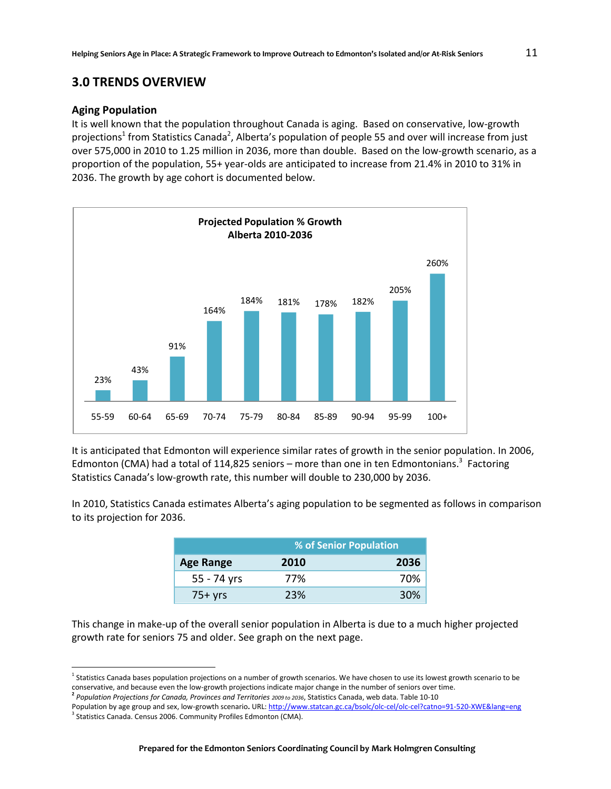#### **3.0 TRENDS OVERVIEW**

#### **Aging Population**

It is well known that the population throughout Canada is aging. Based on conservative, low-growth projections<sup>1</sup> from Statistics Canada<sup>2</sup>, Alberta's population of people 55 and over will increase from just over 575,000 in 2010 to 1.25 million in 2036, more than double. Based on the low-growth scenario, as a proportion of the population, 55+ year-olds are anticipated to increase from 21.4% in 2010 to 31% in 2036. The growth by age cohort is documented below.



It is anticipated that Edmonton will experience similar rates of growth in the senior population. In 2006, Edmonton (CMA) had a total of 114,825 seniors – more than one in ten Edmontonians.<sup>3</sup> Factoring Statistics Canada's low-growth rate, this number will double to 230,000 by 2036.

In 2010, Statistics Canada estimates Alberta's aging population to be segmented as follows in comparison to its projection for 2036.

|                  | % of Senior Population |      |
|------------------|------------------------|------|
| <b>Age Range</b> | 2010                   | 2036 |
| 55 - 74 yrs      | 77%                    | 70%  |
| $75+yrs$         | 23%                    | 30%  |

This change in make-up of the overall senior population in Alberta is due to a much higher projected growth rate for seniors 75 and older. See graph on the next page.

 $\overline{\phantom{a}}$ 

<sup>&</sup>lt;sup>1</sup> Statistics Canada bases population projections on a number of growth scenarios. We have chosen to use its lowest growth scenario to be conservative, and because even the low-growth projections indicate major change in the number of seniors over time.

**<sup>2</sup>** *Population Projections for Canada, Provinces and Territories 2009 to 2036*, Statistics Canada, web data. Table 10-10

Population by age group and sex, low-growth scenario**.** URL[: http://www.statcan.gc.ca/bsolc/olc-cel/olc-cel?catno=91-520-XWE&lang=eng](http://www.statcan.gc.ca/bsolc/olc-cel/olc-cel?catno=91-520-XWE&lang=eng)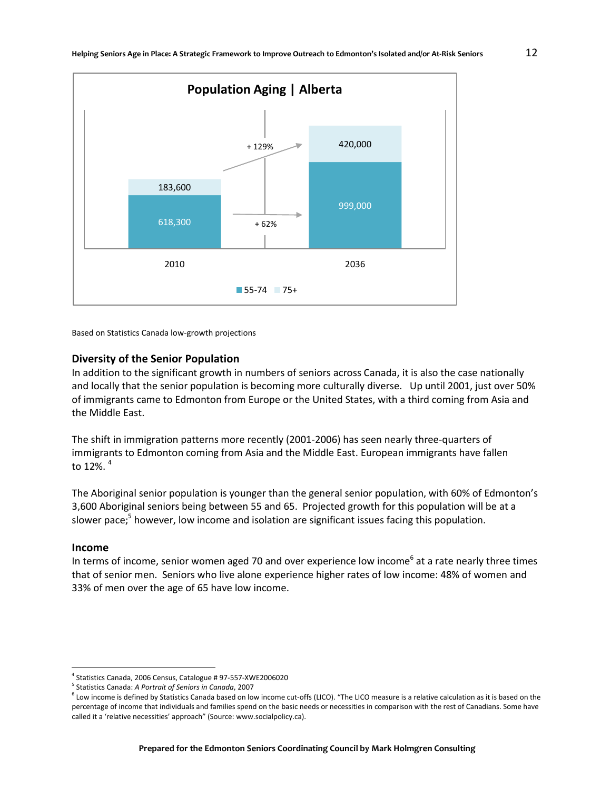

Based on Statistics Canada low-growth projections

#### **Diversity of the Senior Population**

In addition to the significant growth in numbers of seniors across Canada, it is also the case nationally and locally that the senior population is becoming more culturally diverse. Up until 2001, just over 50% of immigrants came to Edmonton from Europe or the United States, with a third coming from Asia and the Middle East.

The shift in immigration patterns more recently (2001-2006) has seen nearly three-quarters of immigrants to Edmonton coming from Asia and the Middle East. European immigrants have fallen to 12%. $4$ 

The Aboriginal senior population is younger than the general senior population, with 60% of Edmonton's 3,600 Aboriginal seniors being between 55 and 65. Projected growth for this population will be at a slower pace;<sup>5</sup> however, low income and isolation are significant issues facing this population.

#### **Income**

 $\overline{\phantom{a}}$ 

In terms of income, senior women aged 70 and over experience low income<sup>6</sup> at a rate nearly three times that of senior men. Seniors who live alone experience higher rates of low income: 48% of women and 33% of men over the age of 65 have low income.

<sup>4</sup> Statistics Canada, 2006 Census, Catalogue # 97-557-XWE2006020

<sup>5</sup> Statistics Canada: *A Portrait of Seniors in Canada*, 2007

 $^6$  Low income is defined by Statistics Canada based on low income cut-offs (LICO). "The LICO measure is a relative calculation as it is based on the percentage of income that individuals and families spend on the basic needs or necessities in comparison with the rest of Canadians. Some have called it a 'relative necessities' approach" (Source: www.socialpolicy.ca).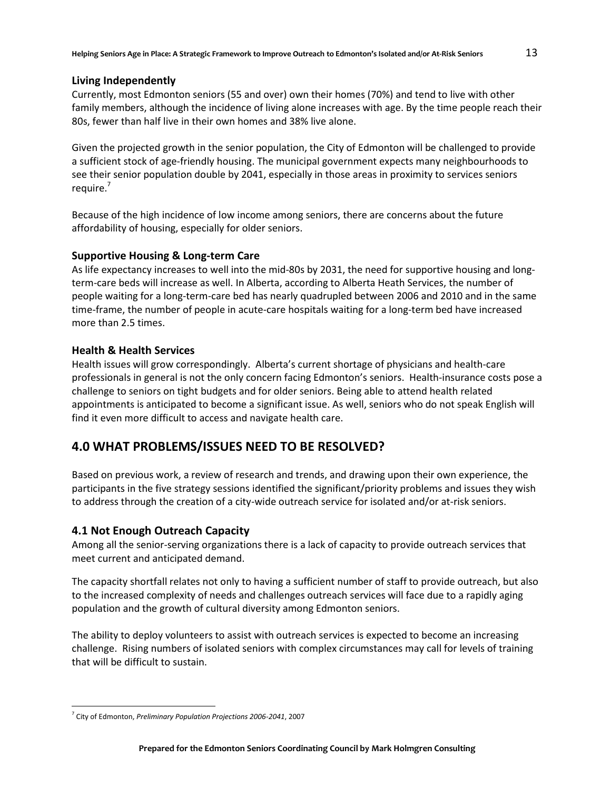#### **Living Independently**

Currently, most Edmonton seniors (55 and over) own their homes (70%) and tend to live with other family members, although the incidence of living alone increases with age. By the time people reach their 80s, fewer than half live in their own homes and 38% live alone.

Given the projected growth in the senior population, the City of Edmonton will be challenged to provide a sufficient stock of age-friendly housing. The municipal government expects many neighbourhoods to see their senior population double by 2041, especially in those areas in proximity to services seniors require.<sup>7</sup>

Because of the high incidence of low income among seniors, there are concerns about the future affordability of housing, especially for older seniors.

#### **Supportive Housing & Long-term Care**

As life expectancy increases to well into the mid-80s by 2031, the need for supportive housing and longterm-care beds will increase as well. In Alberta, according to Alberta Heath Services, the number of people waiting for a long-term-care bed has nearly quadrupled between 2006 and 2010 and in the same time-frame, the number of people in acute-care hospitals waiting for a long-term bed have increased more than 2.5 times.

#### **Health & Health Services**

Health issues will grow correspondingly. Alberta's current shortage of physicians and health-care professionals in general is not the only concern facing Edmonton's seniors. Health-insurance costs pose a challenge to seniors on tight budgets and for older seniors. Being able to attend health related appointments is anticipated to become a significant issue. As well, seniors who do not speak English will find it even more difficult to access and navigate health care.

## **4.0 WHAT PROBLEMS/ISSUES NEED TO BE RESOLVED?**

Based on previous work, a review of research and trends, and drawing upon their own experience, the participants in the five strategy sessions identified the significant/priority problems and issues they wish to address through the creation of a city-wide outreach service for isolated and/or at-risk seniors.

#### **4.1 Not Enough Outreach Capacity**

Among all the senior-serving organizations there is a lack of capacity to provide outreach services that meet current and anticipated demand.

The capacity shortfall relates not only to having a sufficient number of staff to provide outreach, but also to the increased complexity of needs and challenges outreach services will face due to a rapidly aging population and the growth of cultural diversity among Edmonton seniors.

The ability to deploy volunteers to assist with outreach services is expected to become an increasing challenge. Rising numbers of isolated seniors with complex circumstances may call for levels of training that will be difficult to sustain.

 $\overline{a}$ 

<sup>7</sup> City of Edmonton, *Preliminary Population Projections 2006-2041*, 2007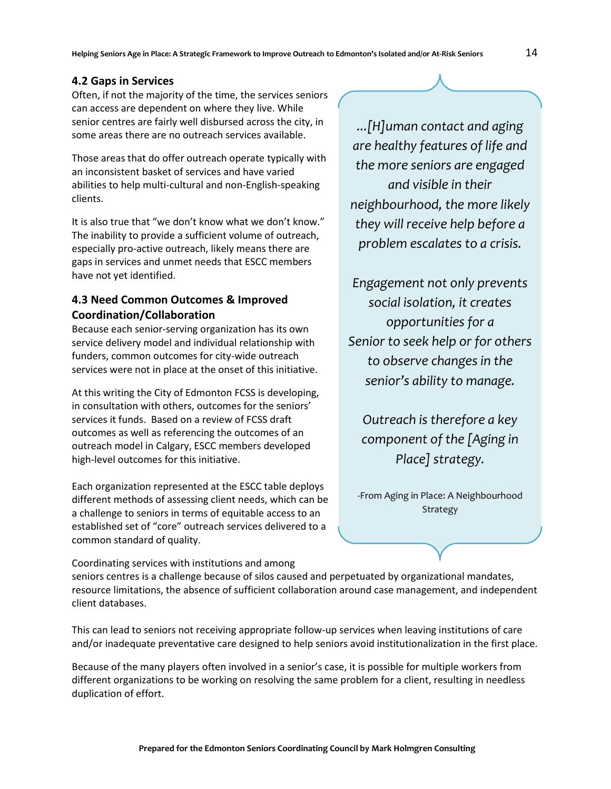#### **4.2 Gaps in Services**

Often, if not the majority of the time, the services seniors can access are dependent on where they live. While senior centres are fairly well disbursed across the city, in some areas there are no outreach services available.

Those areas that do offer outreach operate typically with an inconsistent basket of services and have varied abilities to help multi-cultural and non-English-speaking clients.

It is also true that "we don't know what we don't know." The inability to provide a sufficient volume of outreach, especially pro-active outreach, likely means there are gaps in services and unmet needs that ESCC members have not yet identified.

#### **4.3 Need Common Outcomes & Improved Coordination/Collaboration**

Because each senior-serving organization has its own service delivery model and individual relationship with funders, common outcomes for city-wide outreach services were not in place at the onset of this initiative.

At this writing the City of Edmonton FCSS is developing, in consultation with others, outcomes for the seniors' services it funds. Based on a review of FCSS draft outcomes as well as referencing the outcomes of an outreach model in Calgary, ESCC members developed high-level outcomes for this initiative.

Each organization represented at the ESCC table deploys different methods of assessing client needs, which can be a challenge to seniors in terms of equitable access to an established set of "core" outreach services delivered to a common standard of quality.

*...[H]uman contact and aging are healthy features of life and the more seniors are engaged and visible in their neighbourhood, the more likely they will receive help before a problem escalates to a crisis.* 

*Engagement not only prevents social isolation, it creates opportunities for a Senior to seek help or for others to observe changes in the senior's ability to manage.*

*Outreach is therefore a key component of the [Aging in Place] strategy.*

-From Aging in Place: A Neighbourhood Strategy

Coordinating services with institutions and among seniors centres is a challenge because of silos caused and perpetuated by organizational mandates, resource limitations, the absence of sufficient collaboration around case management, and independent client databases.

This can lead to seniors not receiving appropriate follow-up services when leaving institutions of care and/or inadequate preventative care designed to help seniors avoid institutionalization in the first place.

Because of the many players often involved in a senior's case, it is possible for multiple workers from different organizations to be working on resolving the same problem for a client, resulting in needless duplication of effort.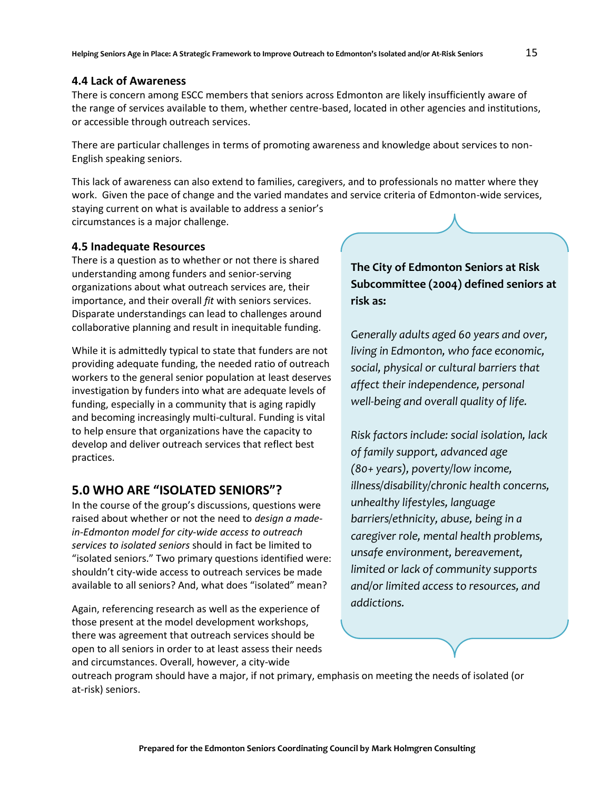#### **4.4 Lack of Awareness**

There is concern among ESCC members that seniors across Edmonton are likely insufficiently aware of the range of services available to them, whether centre-based, located in other agencies and institutions, or accessible through outreach services.

There are particular challenges in terms of promoting awareness and knowledge about services to non-English speaking seniors.

This lack of awareness can also extend to families, caregivers, and to professionals no matter where they work. Given the pace of change and the varied mandates and service criteria of Edmonton-wide services, staying current on what is available to address a senior's circumstances is a major challenge.

**4.5 Inadequate Resources**

There is a question as to whether or not there is shared understanding among funders and senior-serving organizations about what outreach services are, their importance, and their overall *fit* with seniors services. Disparate understandings can lead to challenges around collaborative planning and result in inequitable funding.

While it is admittedly typical to state that funders are not providing adequate funding, the needed ratio of outreach workers to the general senior population at least deserves investigation by funders into what are adequate levels of funding, especially in a community that is aging rapidly and becoming increasingly multi-cultural. Funding is vital to help ensure that organizations have the capacity to develop and deliver outreach services that reflect best practices.

# **5.0 WHO ARE "ISOLATED SENIORS"?**

In the course of the group's discussions, questions were raised about whether or not the need to *design a madein-Edmonton model for city-wide access to outreach services to isolated seniors* should in fact be limited to "isolated seniors." Two primary questions identified were: shouldn't city-wide access to outreach services be made available to all seniors? And, what does "isolated" mean?

Again, referencing research as well as the experience of those present at the model development workshops, there was agreement that outreach services should be open to all seniors in order to at least assess their needs and circumstances. Overall, however, a city-wide

# **The City of Edmonton Seniors at Risk Subcommittee (2004) defined seniors at risk as:**

G*enerally adults aged 60 years and over, living in Edmonton, who face economic, social, physical or cultural barriers that affect their independence, personal well‐being and overall quality of life.* 

*Risk factors include: social isolation, lack of family support, advanced age (80+ years), poverty/low income, illness/disability/chronic health concerns, unhealthy lifestyles, language barriers/ethnicity, abuse, being in a caregiver role, mental health problems, unsafe environment, bereavement, limited or lack of community supports and/or limited access to resources, and addictions.*

outreach program should have a major, if not primary, emphasis on meeting the needs of isolated (or at-risk) seniors.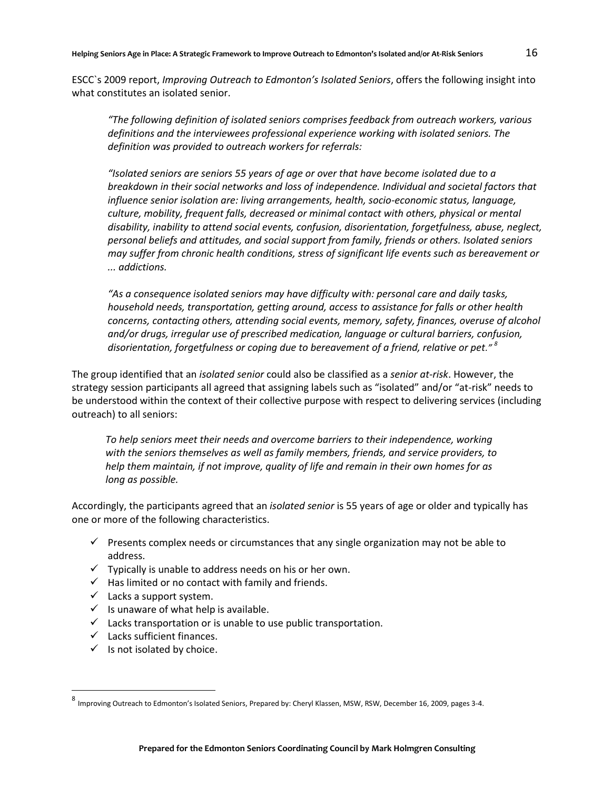ESCC`s 2009 report, *Improving Outreach to Edmonton's Isolated Seniors*, offers the following insight into what constitutes an isolated senior.

*"The following definition of isolated seniors comprises feedback from outreach workers, various definitions and the interviewees professional experience working with isolated seniors. The definition was provided to outreach workers for referrals:* 

*"Isolated seniors are seniors 55 years of age or over that have become isolated due to a breakdown in their social networks and loss of independence. Individual and societal factors that influence senior isolation are: living arrangements, health, socio-economic status, language, culture, mobility, frequent falls, decreased or minimal contact with others, physical or mental disability, inability to attend social events, confusion, disorientation, forgetfulness, abuse, neglect, personal beliefs and attitudes, and social support from family, friends or others. Isolated seniors may suffer from chronic health conditions, stress of significant life events such as bereavement or ... addictions.* 

*"As a consequence isolated seniors may have difficulty with: personal care and daily tasks, household needs, transportation, getting around, access to assistance for falls or other health concerns, contacting others, attending social events, memory, safety, finances, overuse of alcohol and/or drugs, irregular use of prescribed medication, language or cultural barriers, confusion, disorientation, forgetfulness or coping due to bereavement of a friend, relative or pet." <sup>8</sup>*

The group identified that an *isolated senior* could also be classified as a *senior at-risk*. However, the strategy session participants all agreed that assigning labels such as "isolated" and/or "at-risk" needs to be understood within the context of their collective purpose with respect to delivering services (including outreach) to all seniors:

*To help seniors meet their needs and overcome barriers to their independence, working with the seniors themselves as well as family members, friends, and service providers, to help them maintain, if not improve, quality of life and remain in their own homes for as long as possible.* 

Accordingly, the participants agreed that an *isolated senior* is 55 years of age or older and typically has one or more of the following characteristics.

- $\checkmark$  Presents complex needs or circumstances that any single organization may not be able to address.
- $\checkmark$  Typically is unable to address needs on his or her own.
- $\checkmark$  Has limited or no contact with family and friends.
- $\checkmark$  Lacks a support system.
- $\checkmark$  Is unaware of what help is available.
- $\checkmark$  Lacks transportation or is unable to use public transportation.
- $\checkmark$  Lacks sufficient finances.
- $\checkmark$  Is not isolated by choice.

l

<sup>&</sup>lt;sup>8</sup> Improving Outreach to Edmonton's Isolated Seniors, Prepared by: Cheryl Klassen, MSW, RSW, December 16, 2009, pages 3-4.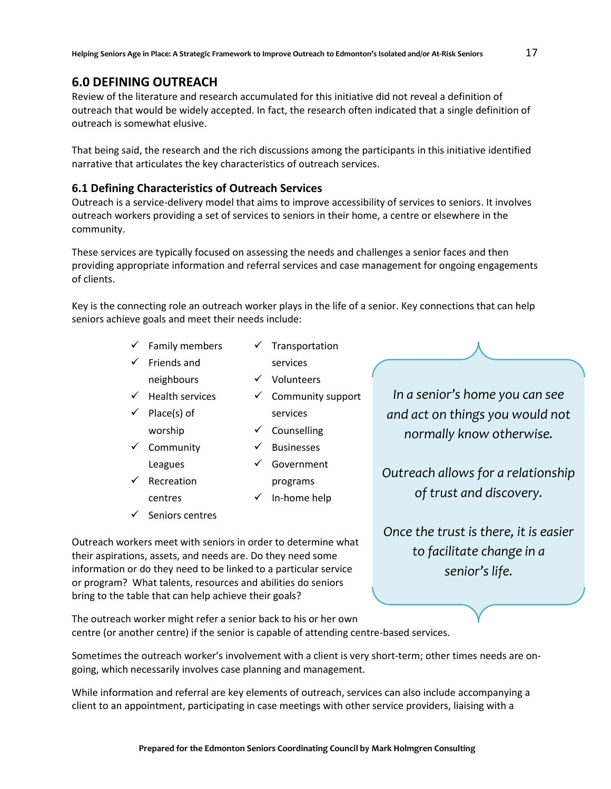### **6.0 DEFINING OUTREACH**

Review of the literature and research accumulated for this initiative did not reveal a definition of outreach that would be widely accepted. In fact, the research often indicated that a single definition of outreach is somewhat elusive.

That being said, the research and the rich discussions among the participants in this initiative identified narrative that articulates the key characteristics of outreach services.

#### **6.1 Defining Characteristics of Outreach Services**

Outreach is a service-delivery model that aims to improve accessibility of services to seniors. It involves outreach workers providing a set of services to seniors in their home, a centre or elsewhere in the community.

These services are typically focused on assessing the needs and challenges a senior faces and then providing appropriate information and referral services and case management for ongoing engagements of clients.

Key is the connecting role an outreach worker plays in the life of a senior. Key connections that can help seniors achieve goals and meet their needs include:

> $\checkmark$  Family members  $\checkmark$  Transportation

neighbours

 $\checkmark$  Community Leagues

- $\checkmark$  Friends and
- services
	- $\checkmark$  Volunteers
- $\checkmark$  Health services
- $\checkmark$  Place(s) of worship
	-
	-
- $\checkmark$  Recreation centres
- $\checkmark$  Seniors centres

services  $\checkmark$  Counselling

 $\checkmark$  Community support

- $\checkmark$  Businesses
	- Government programs
- $\checkmark$  In-home help
- 

*In a senior's home you can see and act on things you would not normally know otherwise.* 

*Outreach allows for a relationship of trust and discovery.*

*Once the trust is there, it is easier to facilitate change in a senior's life.*

- Participant comments

Outreach workers meet with seniors in order to determine what their aspirations, assets, and needs are. Do they need some information or do they need to be linked to a particular service or program? What talents, resources and abilities do seniors bring to the table that can help achieve their goals?

The outreach worker might refer a senior back to his or her own centre (or another centre) if the senior is capable of attending centre-based services.

Sometimes the outreach worker's involvement with a client is very short-term; other times needs are ongoing, which necessarily involves case planning and management.

While information and referral are key elements of outreach, services can also include accompanying a client to an appointment, participating in case meetings with other service providers, liaising with a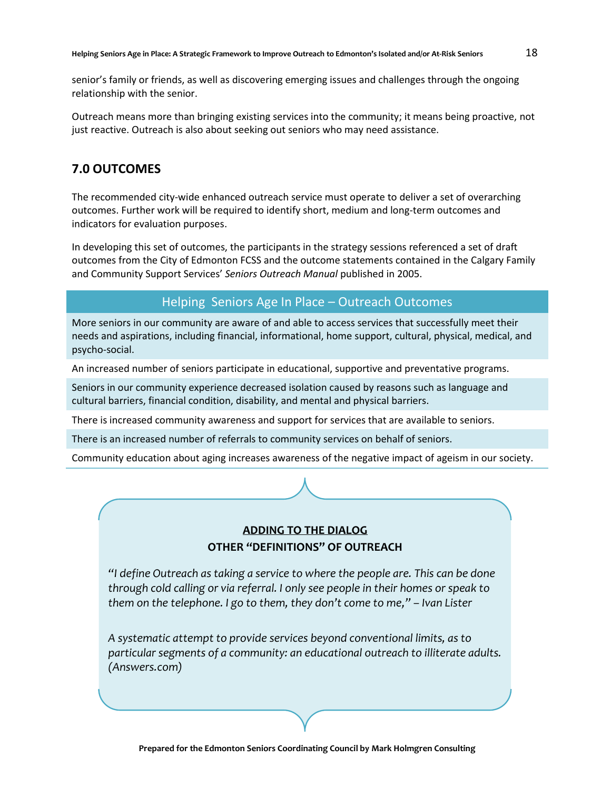senior's family or friends, as well as discovering emerging issues and challenges through the ongoing relationship with the senior.

Outreach means more than bringing existing services into the community; it means being proactive, not just reactive. Outreach is also about seeking out seniors who may need assistance.

# **7.0 OUTCOMES**

The recommended city-wide enhanced outreach service must operate to deliver a set of overarching outcomes. Further work will be required to identify short, medium and long-term outcomes and indicators for evaluation purposes.

In developing this set of outcomes, the participants in the strategy sessions referenced a set of draft outcomes from the City of Edmonton FCSS and the outcome statements contained in the Calgary Family and Community Support Services' *Seniors Outreach Manual* published in 2005.

## Helping Seniors Age In Place – Outreach Outcomes

More seniors in our community are aware of and able to access services that successfully meet their needs and aspirations, including financial, informational, home support, cultural, physical, medical, and psycho-social.

An increased number of seniors participate in educational, supportive and preventative programs.

Seniors in our community experience decreased isolation caused by reasons such as language and cultural barriers, financial condition, disability, and mental and physical barriers.

There is increased community awareness and support for services that are available to seniors.

There is an increased number of referrals to community services on behalf of seniors.

Community education about aging increases awareness of the negative impact of ageism in our society.

# **ADDING TO THE DIALOG OTHER "DEFINITIONS" OF OUTREACH**

*"I define Outreach as taking a service to where the people are. This can be done through cold calling or via referral. I only see people in their homes or speak to them on the telephone. I go to them, they don't come to me," – Ivan Lister*

*A systematic attempt to provide services beyond conventional limits, as to particular segments of a community: an educational outreach to illiterate adults. (Answers.com)*

*Outreach takes the services of information and referral out of an agency or centre into the community. The goal of outreach services is to identify persons* 

*in need and link them to available community resources* (Stuen, 1985).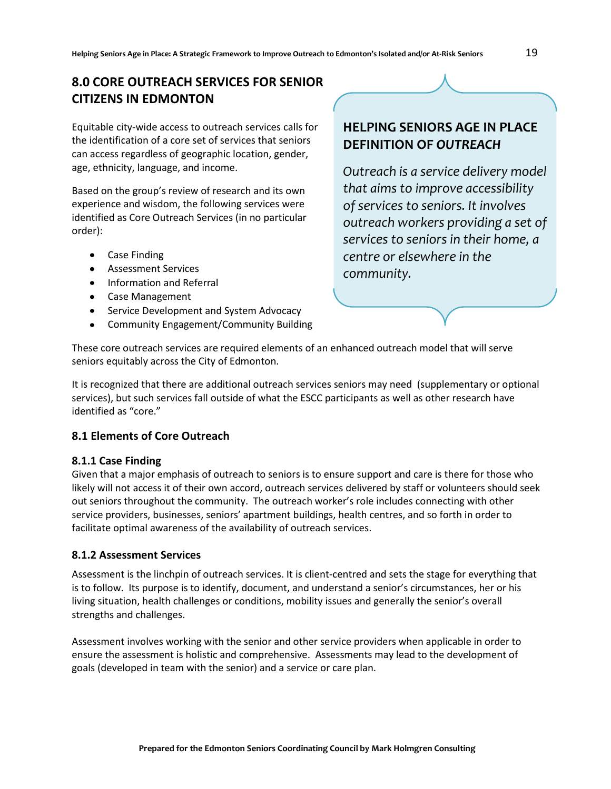# **8.0 CORE OUTREACH SERVICES FOR SENIOR CITIZENS IN EDMONTON**

Equitable city-wide access to outreach services calls for the identification of a core set of services that seniors can access regardless of geographic location, gender, age, ethnicity, language, and income.

Based on the group's review of research and its own experience and wisdom, the following services were identified as Core Outreach Services (in no particular order):

- Case Finding
- Assessment Services
- Information and Referral
- Case Management
- Service Development and System Advocacy
- Community Engagement/Community Building  $\bullet$

# **HELPING SENIORS AGE IN PLACE DEFINITION OF** *OUTREACH*

*Outreach is a service delivery model that aims to improve accessibility of services to seniors. It involves outreach workers providing a set of services to seniors in their home, a centre or elsewhere in the community.* 

These core outreach services are required elements of an enhanced outreach model that will serve seniors equitably across the City of Edmonton.

It is recognized that there are additional outreach services seniors may need (supplementary or optional services), but such services fall outside of what the ESCC participants as well as other research have identified as "core."

#### **8.1 Elements of Core Outreach**

#### **8.1.1 Case Finding**

Given that a major emphasis of outreach to seniors is to ensure support and care is there for those who likely will not access it of their own accord, outreach services delivered by staff or volunteers should seek out seniors throughout the community. The outreach worker's role includes connecting with other service providers, businesses, seniors' apartment buildings, health centres, and so forth in order to facilitate optimal awareness of the availability of outreach services.

#### **8.1.2 Assessment Services**

Assessment is the linchpin of outreach services. It is client-centred and sets the stage for everything that is to follow. Its purpose is to identify, document, and understand a senior's circumstances, her or his living situation, health challenges or conditions, mobility issues and generally the senior's overall strengths and challenges.

Assessment involves working with the senior and other service providers when applicable in order to ensure the assessment is holistic and comprehensive. Assessments may lead to the development of goals (developed in team with the senior) and a service or care plan.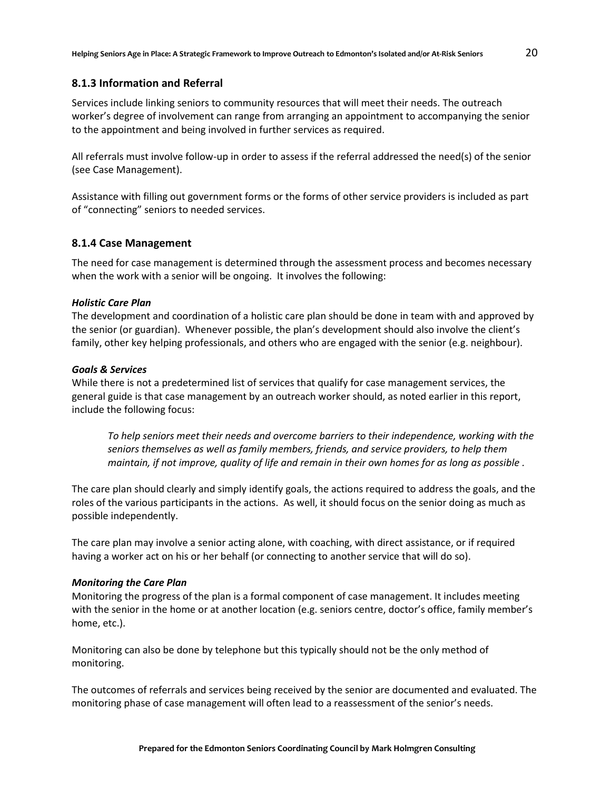#### **8.1.3 Information and Referral**

Services include linking seniors to community resources that will meet their needs. The outreach worker's degree of involvement can range from arranging an appointment to accompanying the senior to the appointment and being involved in further services as required.

All referrals must involve follow-up in order to assess if the referral addressed the need(s) of the senior (see Case Management).

Assistance with filling out government forms or the forms of other service providers is included as part of "connecting" seniors to needed services.

#### **8.1.4 Case Management**

The need for case management is determined through the assessment process and becomes necessary when the work with a senior will be ongoing. It involves the following:

#### *Holistic Care Plan*

The development and coordination of a holistic care plan should be done in team with and approved by the senior (or guardian). Whenever possible, the plan's development should also involve the client's family, other key helping professionals, and others who are engaged with the senior (e.g. neighbour).

#### *Goals & Services*

While there is not a predetermined list of services that qualify for case management services, the general guide is that case management by an outreach worker should, as noted earlier in this report, include the following focus:

*To help seniors meet their needs and overcome barriers to their independence, working with the seniors themselves as well as family members, friends, and service providers, to help them maintain, if not improve, quality of life and remain in their own homes for as long as possible .*

The care plan should clearly and simply identify goals, the actions required to address the goals, and the roles of the various participants in the actions. As well, it should focus on the senior doing as much as possible independently.

The care plan may involve a senior acting alone, with coaching, with direct assistance, or if required having a worker act on his or her behalf (or connecting to another service that will do so).

#### *Monitoring the Care Plan*

Monitoring the progress of the plan is a formal component of case management. It includes meeting with the senior in the home or at another location (e.g. seniors centre, doctor's office, family member's home, etc.).

Monitoring can also be done by telephone but this typically should not be the only method of monitoring.

The outcomes of referrals and services being received by the senior are documented and evaluated. The monitoring phase of case management will often lead to a reassessment of the senior's needs.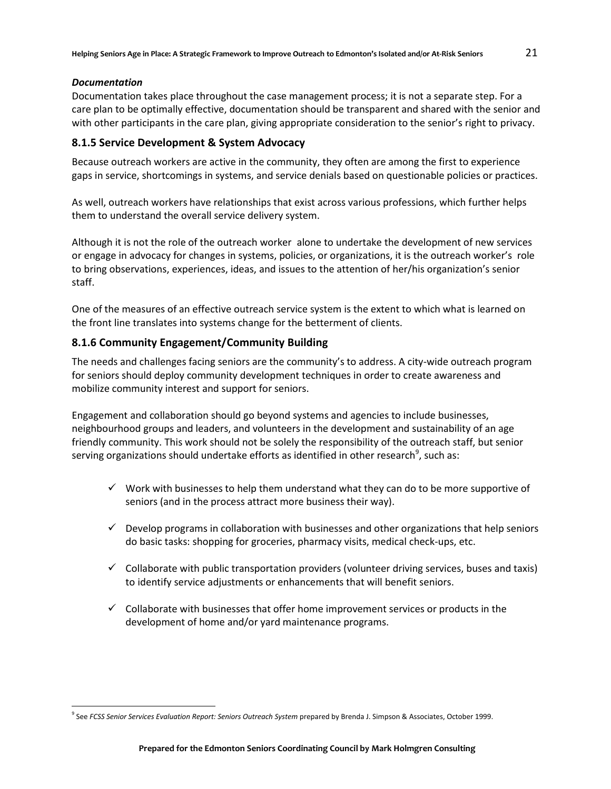#### *Documentation*

 $\overline{a}$ 

Documentation takes place throughout the case management process; it is not a separate step. For a care plan to be optimally effective, documentation should be transparent and shared with the senior and with other participants in the care plan, giving appropriate consideration to the senior's right to privacy.

#### **8.1.5 Service Development & System Advocacy**

Because outreach workers are active in the community, they often are among the first to experience gaps in service, shortcomings in systems, and service denials based on questionable policies or practices.

As well, outreach workers have relationships that exist across various professions, which further helps them to understand the overall service delivery system.

Although it is not the role of the outreach worker alone to undertake the development of new services or engage in advocacy for changes in systems, policies, or organizations, it is the outreach worker's role to bring observations, experiences, ideas, and issues to the attention of her/his organization's senior staff.

One of the measures of an effective outreach service system is the extent to which what is learned on the front line translates into systems change for the betterment of clients.

#### **8.1.6 Community Engagement/Community Building**

The needs and challenges facing seniors are the community's to address. A city-wide outreach program for seniors should deploy community development techniques in order to create awareness and mobilize community interest and support for seniors.

Engagement and collaboration should go beyond systems and agencies to include businesses, neighbourhood groups and leaders, and volunteers in the development and sustainability of an age friendly community. This work should not be solely the responsibility of the outreach staff, but senior serving organizations should undertake efforts as identified in other research $^9$ , such as:

- $\checkmark$  Work with businesses to help them understand what they can do to be more supportive of seniors (and in the process attract more business their way).
- $\checkmark$  Develop programs in collaboration with businesses and other organizations that help seniors do basic tasks: shopping for groceries, pharmacy visits, medical check-ups, etc.
- $\checkmark$  Collaborate with public transportation providers (volunteer driving services, buses and taxis) to identify service adjustments or enhancements that will benefit seniors.
- $\checkmark$  Collaborate with businesses that offer home improvement services or products in the development of home and/or yard maintenance programs.

<sup>9</sup> See *FCSS Senior Services Evaluation Report: Seniors Outreach System* prepared by Brenda J. Simpson & Associates, October 1999.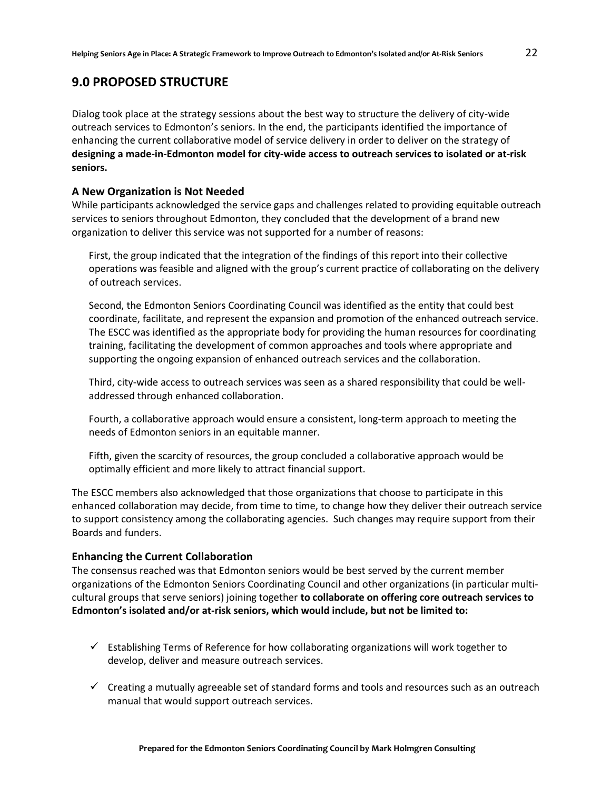### **9.0 PROPOSED STRUCTURE**

Dialog took place at the strategy sessions about the best way to structure the delivery of city-wide outreach services to Edmonton's seniors. In the end, the participants identified the importance of enhancing the current collaborative model of service delivery in order to deliver on the strategy of **designing a made-in-Edmonton model for city-wide access to outreach services to isolated or at-risk seniors.**

#### **A New Organization is Not Needed**

While participants acknowledged the service gaps and challenges related to providing equitable outreach services to seniors throughout Edmonton, they concluded that the development of a brand new organization to deliver this service was not supported for a number of reasons:

First, the group indicated that the integration of the findings of this report into their collective operations was feasible and aligned with the group's current practice of collaborating on the delivery of outreach services.

Second, the Edmonton Seniors Coordinating Council was identified as the entity that could best coordinate, facilitate, and represent the expansion and promotion of the enhanced outreach service. The ESCC was identified as the appropriate body for providing the human resources for coordinating training, facilitating the development of common approaches and tools where appropriate and supporting the ongoing expansion of enhanced outreach services and the collaboration.

Third, city-wide access to outreach services was seen as a shared responsibility that could be welladdressed through enhanced collaboration.

Fourth, a collaborative approach would ensure a consistent, long-term approach to meeting the needs of Edmonton seniors in an equitable manner.

Fifth, given the scarcity of resources, the group concluded a collaborative approach would be optimally efficient and more likely to attract financial support.

The ESCC members also acknowledged that those organizations that choose to participate in this enhanced collaboration may decide, from time to time, to change how they deliver their outreach service to support consistency among the collaborating agencies. Such changes may require support from their Boards and funders.

#### **Enhancing the Current Collaboration**

The consensus reached was that Edmonton seniors would be best served by the current member organizations of the Edmonton Seniors Coordinating Council and other organizations (in particular multicultural groups that serve seniors) joining together **to collaborate on offering core outreach services to Edmonton's isolated and/or at-risk seniors, which would include, but not be limited to:** 

- $\checkmark$  Establishing Terms of Reference for how collaborating organizations will work together to develop, deliver and measure outreach services.
- $\checkmark$  Creating a mutually agreeable set of standard forms and tools and resources such as an outreach manual that would support outreach services.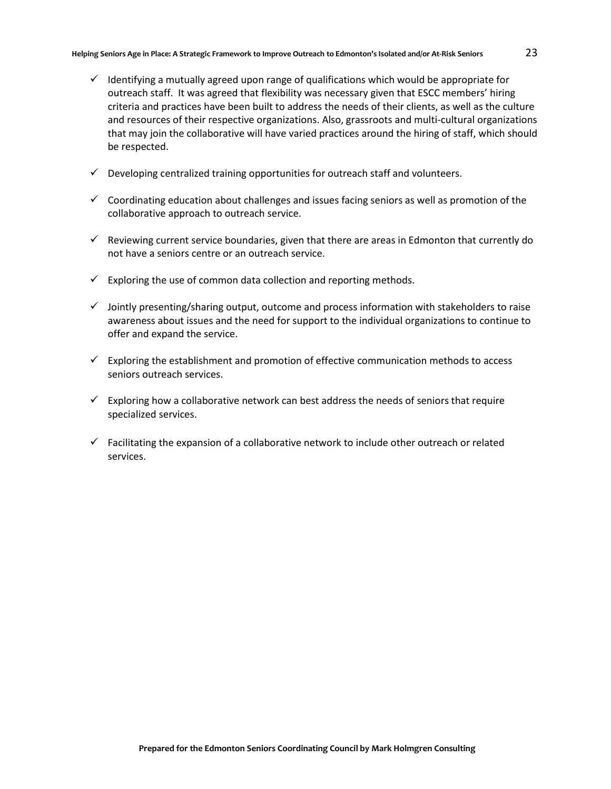- $\checkmark$  Identifying a mutually agreed upon range of qualifications which would be appropriate for outreach staff. It was agreed that flexibility was necessary given that ESCC members' hiring criteria and practices have been built to address the needs of their clients, as well as the culture and resources of their respective organizations. Also, grassroots and multi-cultural organizations that may join the collaborative will have varied practices around the hiring of staff, which should be respected.
- $\checkmark$  Developing centralized training opportunities for outreach staff and volunteers.
- $\checkmark$  Coordinating education about challenges and issues facing seniors as well as promotion of the collaborative approach to outreach service.
- $\checkmark$  Reviewing current service boundaries, given that there are areas in Edmonton that currently do not have a seniors centre or an outreach service.
- $\checkmark$  Exploring the use of common data collection and reporting methods.
- $\checkmark$  Jointly presenting/sharing output, outcome and process information with stakeholders to raise awareness about issues and the need for support to the individual organizations to continue to offer and expand the service.
- $\checkmark$  Exploring the establishment and promotion of effective communication methods to access seniors outreach services.
- $\checkmark$  Exploring how a collaborative network can best address the needs of seniors that require specialized services.
- $\checkmark$  Facilitating the expansion of a collaborative network to include other outreach or related services.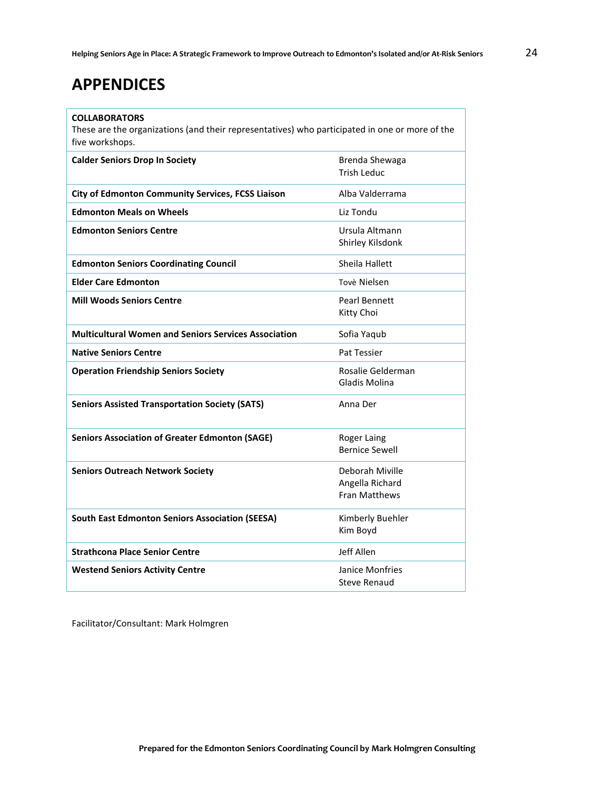# **APPENDICES**

#### **COLLABORATORS**

These are the organizations (and their representatives) who participated in one or more of the five workshops.

| <b>Calder Seniors Drop In Society</b>                       | Brenda Shewaga<br><b>Trish Leduc</b>                |
|-------------------------------------------------------------|-----------------------------------------------------|
| <b>City of Edmonton Community Services, FCSS Liaison</b>    | Alba Valderrama                                     |
| <b>Edmonton Meals on Wheels</b>                             | Liz Tondu                                           |
| <b>Edmonton Seniors Centre</b>                              | Ursula Altmann<br>Shirley Kilsdonk                  |
| <b>Edmonton Seniors Coordinating Council</b>                | Sheila Hallett                                      |
| <b>Elder Care Edmonton</b>                                  | Tovè Nielsen                                        |
| <b>Mill Woods Seniors Centre</b>                            | Pearl Bennett<br>Kitty Choi                         |
| <b>Multicultural Women and Seniors Services Association</b> | Sofia Yaqub                                         |
| <b>Native Seniors Centre</b>                                | Pat Tessier                                         |
| <b>Operation Friendship Seniors Society</b>                 | Rosalie Gelderman<br>Gladis Molina                  |
| <b>Seniors Assisted Transportation Society (SATS)</b>       | Anna Der                                            |
| <b>Seniors Association of Greater Edmonton (SAGE)</b>       | Roger Laing<br><b>Bernice Sewell</b>                |
| <b>Seniors Outreach Network Society</b>                     | Deborah Miville<br>Angella Richard<br>Fran Matthews |
| <b>South East Edmonton Seniors Association (SEESA)</b>      | Kimberly Buehler<br>Kim Boyd                        |
| <b>Strathcona Place Senior Centre</b>                       | Jeff Allen                                          |
| <b>Westend Seniors Activity Centre</b>                      | Janice Monfries<br><b>Steve Renaud</b>              |

Facilitator/Consultant: Mark Holmgren